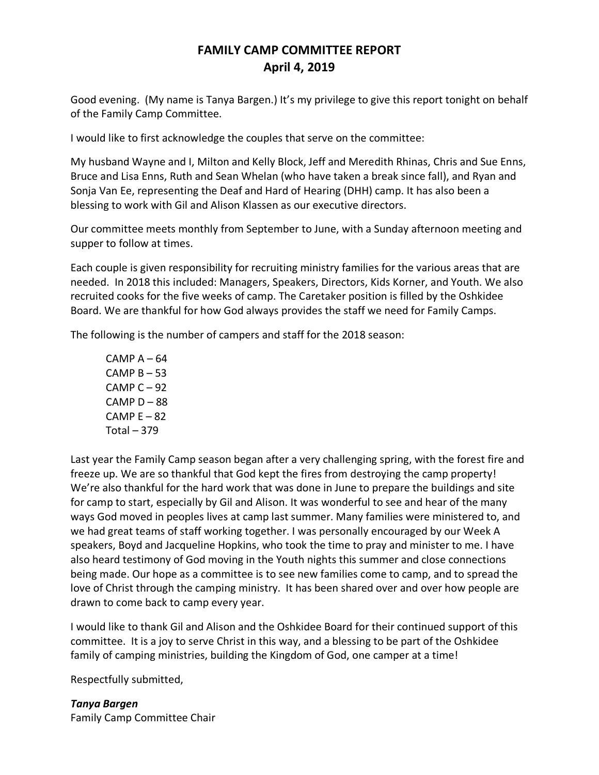## **FAMILY CAMP COMMITTEE REPORT April 4, 2019**

Good evening. (My name is Tanya Bargen.) It's my privilege to give this report tonight on behalf of the Family Camp Committee.

I would like to first acknowledge the couples that serve on the committee:

My husband Wayne and I, Milton and Kelly Block, Jeff and Meredith Rhinas, Chris and Sue Enns, Bruce and Lisa Enns, Ruth and Sean Whelan (who have taken a break since fall), and Ryan and Sonja Van Ee, representing the Deaf and Hard of Hearing (DHH) camp. It has also been a blessing to work with Gil and Alison Klassen as our executive directors.

Our committee meets monthly from September to June, with a Sunday afternoon meeting and supper to follow at times.

Each couple is given responsibility for recruiting ministry families for the various areas that are needed. In 2018 this included: Managers, Speakers, Directors, Kids Korner, and Youth. We also recruited cooks for the five weeks of camp. The Caretaker position is filled by the Oshkidee Board. We are thankful for how God always provides the staff we need for Family Camps.

The following is the number of campers and staff for the 2018 season:

 $CAMP A - 64$ CAMP  $B - 53$ CAMP  $C - 92$  $CAMP D - 88$ CAMP  $E - 82$ Total  $-379$ 

Last year the Family Camp season began after a very challenging spring, with the forest fire and freeze up. We are so thankful that God kept the fires from destroying the camp property! We're also thankful for the hard work that was done in June to prepare the buildings and site for camp to start, especially by Gil and Alison. It was wonderful to see and hear of the many ways God moved in peoples lives at camp last summer. Many families were ministered to, and we had great teams of staff working together. I was personally encouraged by our Week A speakers, Boyd and Jacqueline Hopkins, who took the time to pray and minister to me. I have also heard testimony of God moving in the Youth nights this summer and close connections being made. Our hope as a committee is to see new families come to camp, and to spread the love of Christ through the camping ministry. It has been shared over and over how people are drawn to come back to camp every year.

I would like to thank Gil and Alison and the Oshkidee Board for their continued support of this committee. It is a joy to serve Christ in this way, and a blessing to be part of the Oshkidee family of camping ministries, building the Kingdom of God, one camper at a time!

Respectfully submitted,

*Tanya Bargen* Family Camp Committee Chair